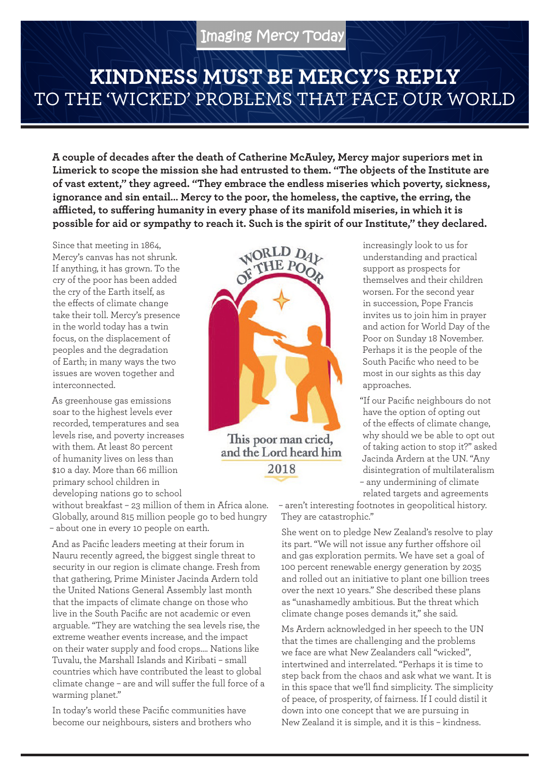## **KINDNESS MUST BE MERCY'S REPLY**  TO THE 'WICKED' PROBLEMS THAT FACE OUR WORLD

**A couple of decades after the death of Catherine McAuley, Mercy major superiors met in Limerick to scope the mission she had entrusted to them. "The objects of the Institute are of vast extent," they agreed. "They embrace the endless miseries which poverty, sickness, ignorance and sin entail… Mercy to the poor, the homeless, the captive, the erring, the afflicted, to suffering humanity in every phase of its manifold miseries, in which it is possible for aid or sympathy to reach it. Such is the spirit of our Institute," they declared.** 

Since that meeting in 1864, Mercy's canvas has not shrunk. If anything, it has grown. To the cry of the poor has been added the cry of the Earth itself, as the effects of climate change take their toll. Mercy's presence in the world today has a twin focus, on the displacement of peoples and the degradation of Earth; in many ways the two issues are woven together and interconnected.

As greenhouse gas emissions soar to the highest levels ever recorded, temperatures and sea levels rise, and poverty increases with them. At least 80 percent of humanity lives on less than \$10 a day. More than 66 million primary school children in developing nations go to school

without breakfast – 23 million of them in Africa alone. Globally, around 815 million people go to bed hungry – about one in every 10 people on earth.

And as Pacific leaders meeting at their forum in Nauru recently agreed, the biggest single threat to security in our region is climate change. Fresh from that gathering, Prime Minister Jacinda Ardern told the United Nations General Assembly last month that the impacts of climate change on those who live in the South Pacific are not academic or even arguable. "They are watching the sea levels rise, the extreme weather events increase, and the impact on their water supply and food crops…. Nations like Tuvalu, the Marshall Islands and Kiribati – small countries which have contributed the least to global climate change – are and will suffer the full force of a warming planet."

In today's world these Pacific communities have become our neighbours, sisters and brothers who



increasingly look to us for understanding and practical support as prospects for themselves and their children worsen. For the second year in succession, Pope Francis invites us to join him in prayer and action for World Day of the Poor on Sunday 18 November. Perhaps it is the people of the South Pacific who need to be most in our sights as this day approaches.

"If our Pacific neighbours do not have the option of opting out of the effects of climate change, why should we be able to opt out of taking action to stop it?" asked Jacinda Ardern at the UN. "Any disintegration of multilateralism – any undermining of climate related targets and agreements

– aren't interesting footnotes in geopolitical history. They are catastrophic."

She went on to pledge New Zealand's resolve to play its part. "We will not issue any further offshore oil and gas exploration permits. We have set a goal of 100 percent renewable energy generation by 2035 and rolled out an initiative to plant one billion trees over the next 10 years." She described these plans as "unashamedly ambitious. But the threat which climate change poses demands it," she said.

Ms Ardern acknowledged in her speech to the UN that the times are challenging and the problems we face are what New Zealanders call "wicked", intertwined and interrelated. "Perhaps it is time to step back from the chaos and ask what we want. It is in this space that we'll find simplicity. The simplicity of peace, of prosperity, of fairness. If I could distil it down into one concept that we are pursuing in New Zealand it is simple, and it is this – kindness.